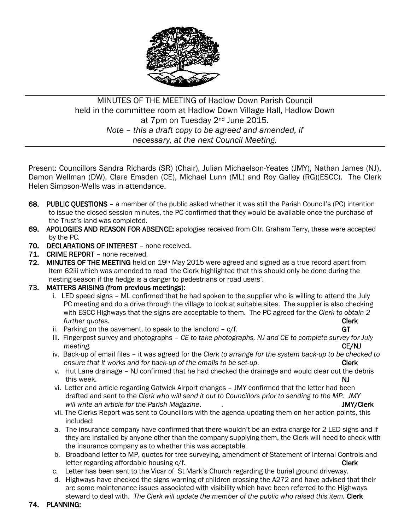

# MINUTES OF THE MEETING of Hadlow Down Parish Council held in the committee room at Hadlow Down Village Hall, Hadlow Down at 7pm on Tuesday 2nd June 2015. *Note – this a draft copy to be agreed and amended, if necessary, at the next Council Meeting.*

Present: Councillors Sandra Richards (SR) (Chair), Julian Michaelson-Yeates (JMY), Nathan James (NJ), Damon Wellman (DW), Clare Emsden (CE), Michael Lunn (ML) and Roy Galley (RG)(ESCC). The Clerk Helen Simpson-Wells was in attendance.

- 68. PUBLIC QUESTIONS a member of the public asked whether it was still the Parish Council's (PC) intention to issue the closed session minutes, the PC confirmed that they would be available once the purchase of the Trust's land was completed.
- 69. APOLOGIES AND REASON FOR ABSENCE: apologies received from Cllr. Graham Terry, these were accepted by the PC.
- 70. DECLARATIONS OF INTEREST none received.
- 71. CRIME REPORT none received.
- 72. MINUTES OF THE MEETING held on  $19<sup>th</sup>$  May 2015 were agreed and signed as a true record apart from Item 62iii which was amended to read 'the Clerk highlighted that this should only be done during the nesting season if the hedge is a danger to pedestrians or road users'.
- 73. MATTERS ARISING (from previous meetings):
	- i. LED speed signs ML confirmed that he had spoken to the supplier who is willing to attend the July PC meeting and do a drive through the village to look at suitable sites. The supplier is also checking with ESCC Highways that the signs are acceptable to them. The PC agreed for the *Clerk to obtain 2 further quotes.* **Clerk**
	- ii. Parking on the pavement, to speak to the landlord  $c/f$ . GT
	- iii. Fingerpost survey and photographs *CE to take photographs, NJ and CE to complete survey for July meeting.* CE/NJ
	- iv. Back-up of email files it was agreed for the *Clerk to arrange for the system back-up to be checked to ensure that it works and for back-up of the emails to be set-up.* The set-up **Clerk**
	- v. Hut Lane drainage NJ confirmed that he had checked the drainage and would clear out the debris this week. NJ
	- vi. Letter and article regarding Gatwick Airport changes JMY confirmed that the letter had been drafted and sent to the *Clerk who will send it out to Councillors prior to sending to the MP. JMY will write an article for the Parish Magazine*. . JMY/Clerk
	- vii. The Clerks Report was sent to Councillors with the agenda updating them on her action points, this included:
	- a. The insurance company have confirmed that there wouldn't be an extra charge for 2 LED signs and if they are installed by anyone other than the company supplying them, the Clerk will need to check with the insurance company as to whether this was acceptable.
	- b. Broadband letter to MP, quotes for tree surveying, amendment of Statement of Internal Controls and letter regarding affordable housing c/f. Clerk and the control of the clerk clerk
	- c. Letter has been sent to the Vicar of St Mark's Church regarding the burial ground driveway.
	- d. Highways have checked the signs warning of children crossing the A272 and have advised that their are some maintenance issues associated with visibility which have been referred to the Highways steward to deal with. *The Clerk will update the member of the public who raised this item.* Clerk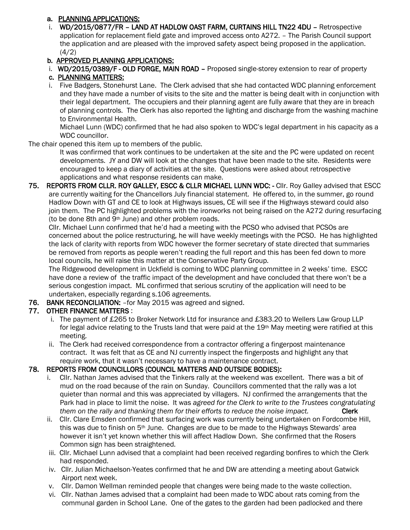#### a. PLANNING APPLICATIONS:

 i. WD/2015/0877/FR – LAND AT HADLOW OAST FARM, CURTAINS HILL TN22 4DU – Retrospective application for replacement field gate and improved access onto A272. – The Parish Council support the application and are pleased with the improved safety aspect being proposed in the application.  $(4/2)$ 

#### b. APPROVED PLANNING APPLICATIONS:

i. WD/2015/0389/F - OLD FORGE, MAIN ROAD - Proposed single-storey extension to rear of property

# c. PLANNING MATTERS:

 i. Five Badgers, Stonehurst Lane. The Clerk advised that she had contacted WDC planning enforcement and they have made a number of visits to the site and the matter is being dealt with in conjunction with their legal department. The occupiers and their planning agent are fully aware that they are in breach of planning controls. The Clerk has also reported the lighting and discharge from the washing machine to Environmental Health.

 Michael Lunn (WDC) confirmed that he had also spoken to WDC's legal department in his capacity as a WDC councillor.

The chair opened this item up to members of the public.

 It was confirmed that work continues to be undertaken at the site and the PC were updated on recent developments. JY and DW will look at the changes that have been made to the site. Residents were encouraged to keep a diary of activities at the site. Questions were asked about retrospective applications and what response residents can make.

75. REPORTS FROM CLLR. ROY GALLEY, ESCC & CLLR MICHAEL LUNN WDC: - Cllr. Roy Galley advised that ESCC are currently waiting for the Chancellors July financial statement. He offered to, in the summer, go round Hadlow Down with GT and CE to look at Highways issues, CE will see if the Highways steward could also join them. The PC highlighted problems with the ironworks not being raised on the A272 during resurfacing (to be done 8th and 9th June) and other problem roads.

 Cllr. Michael Lunn confirmed that he'd had a meeting with the PCSO who advised that PCSOs are concerned about the police restructuring, he will have weekly meetings with the PCSO. He has highlighted the lack of clarity with reports from WDC however the former secretary of state directed that summaries be removed from reports as people weren't reading the full report and this has been fed down to more local councils, he will raise this matter at the Conservative Party Group.

 The Ridgewood development in Uckfield is coming to WDC planning committee in 2 weeks' time. ESCC have done a review of the traffic impact of the development and have concluded that there won't be a serious congestion impact. ML confirmed that serious scrutiny of the application will need to be undertaken, especially regarding s.106 agreements.

#### 76. BANK RECONCILIATION: –for May 2015 was agreed and signed.

## 77. OTHER FINANCE MATTERS :

- i. The payment of £265 to Broker Network Ltd for insurance and £383.20 to Wellers Law Group LLP for legal advice relating to the Trusts land that were paid at the 19<sup>th</sup> May meeting were ratified at this meeting.
- ii. The Clerk had received correspondence from a contractor offering a fingerpost maintenance contract. It was felt that as CE and NJ currently inspect the fingerposts and highlight any that require work, that it wasn't necessary to have a maintenance contract.

## 78. REPORTS FROM COUNCILLORS (COUNCIL MATTERS AND OUTSIDE BODIES):

- i. Cllr. Nathan James advised that the Tinkers rally at the weekend was excellent. There was a bit of mud on the road because of the rain on Sunday. Councillors commented that the rally was a lot quieter than normal and this was appreciated by villagers. NJ confirmed the arrangements that the Park had in place to limit the noise. It was *agreed for the Clerk to write to the Trustees congratulating them* on the rally and thanking them for their efforts to reduce the noise impact. Clerk
- ii. Cllr. Clare Emsden confirmed that surfacing work was currently being undertaken on Fordcombe Hill, this was due to finish on 5<sup>th</sup> June. Changes are due to be made to the Highways Stewards' area however it isn't yet known whether this will affect Hadlow Down. She confirmed that the Rosers Common sign has been straightened.
- iii. Cllr. Michael Lunn advised that a complaint had been received regarding bonfires to which the Clerk had responded.
- iv. Cllr. Julian Michaelson-Yeates confirmed that he and DW are attending a meeting about Gatwick Airport next week.
- v. Cllr. Damon Wellman reminded people that changes were being made to the waste collection.
- vi. Cllr. Nathan James advised that a complaint had been made to WDC about rats coming from the communal garden in School Lane. One of the gates to the garden had been padlocked and there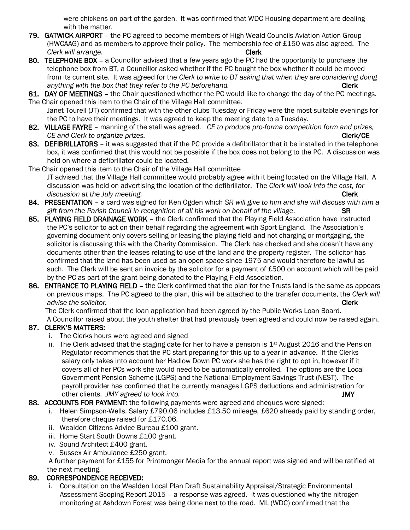were chickens on part of the garden. It was confirmed that WDC Housing department are dealing with the matter.

- 79. GATWICK AIRPORT the PC agreed to become members of High Weald Councils Aviation Action Group (HWCAAG) and as members to approve their policy. The membership fee of  $£150$  was also agreed. The *Clerk will arrange.* **Clerk**
- 80. TELEPHONE BOX a Councillor advised that a few years ago the PC had the opportunity to purchase the telephone box from BT, a Councillor asked whether if the PC bought the box whether it could be moved from its current site. It was agreed for the *Clerk to write to BT asking that when they are considering doing anything with the box that they refer to the PC beforehand.* Clerk **Clerk**
- 81. DAY OF MEETINGS the Chair questioned whether the PC would like to change the day of the PC meetings. The Chair opened this item to the Chair of the Village Hall committee.

 Janet Tourell (JT) confirmed that with the other clubs Tuesday or Friday were the most suitable evenings for the PC to have their meetings. It was agreed to keep the meeting date to a Tuesday.

- 82. VILLAGE FAYRE manning of the stall was agreed. *CE to produce pro-forma competition form and prizes, CE and Clerk to organize prizes.* Clerk/CE
- 83. DEFIBRILLATORS it was suggested that if the PC provide a defibrillator that it be installed in the telephone box, it was confirmed that this would not be possible if the box does not belong to the PC. A discussion was held on where a defibrillator could be located.

The Chair opened this item to the Chair of the Village Hall committee JT advised that the Village Hall committee would probably agree with it being located on the Village Hall. A discussion was held on advertising the location of the defibrillator. The *Clerk will look into the cost, for discussion at the July meeting.* The setting of the setting of the setting of the setting of the setting of the set

- 84. PRESENTATION a card was signed for Ken Ogden which *SR will give to him and she will discuss with him a gift from the Parish Council in recognition of all his work on behalf of the village*. SR
- 85. PLAYING FIELD DRAINAGE WORK the Clerk confirmed that the Playing Field Association have instructed the PC's solicitor to act on their behalf regarding the agreement with Sport England. The Association's governing document only covers selling or leasing the playing field and not charging or mortgaging, the solicitor is discussing this with the Charity Commission. The Clerk has checked and she doesn't have any documents other than the leases relating to use of the land and the property register. The solicitor has confirmed that the land has been used as an open space since 1975 and would therefore be lawful as such. The Clerk will be sent an invoice by the solicitor for a payment of £500 on account which will be paid by the PC as part of the grant being donated to the Playing Field Association.
- 86. ENTRANCE TO PLAYING FIELD the Clerk confirmed that the plan for the Trusts land is the same as appears on previous maps. The PC agreed to the plan, this will be attached to the transfer documents, the *Clerk will advise the solicitor.* Clerk

 The Clerk confirmed that the loan application had been agreed by the Public Works Loan Board. A Councillor raised about the youth shelter that had previously been agreed and could now be raised again.

## 87. CLERK'S MATTERS:

- i. The Clerks hours were agreed and signed
- ii. The Clerk advised that the staging date for her to have a pension is  $1st$  August 2016 and the Pension Regulator recommends that the PC start preparing for this up to a year in advance. If the Clerks salary only takes into account her Hadlow Down PC work she has the right to opt in, however if it covers all of her PCs work she would need to be automatically enrolled. The options are the Local Government Pension Scheme (LGPS) and the National Employment Savings Trust (NEST). The payroll provider has confirmed that he currently manages LGPS deductions and administration for other clients. *JMY agreed to look into.* JMY

## 88. ACCOUNTS FOR PAYMENT: the following payments were agreed and cheques were signed:

- i. Helen Simpson-Wells. Salary £790.06 includes £13.50 mileage, £620 already paid by standing order, therefore cheque raised for £170.06.
- ii. Wealden Citizens Advice Bureau £100 grant.
- iii. Home Start South Downs £100 grant.
- iv. Sound Architect £400 grant.
- v. Sussex Air Ambulance £250 grant.

 A further payment for £155 for Printmonger Media for the annual report was signed and will be ratified at the next meeting.

## 89. CORRESPONDENCE RECEIVED:

 i. Consultation on the Wealden Local Plan Draft Sustainability Appraisal/Strategic Environmental Assessment Scoping Report 2015 – a response was agreed. It was questioned why the nitrogen monitoring at Ashdown Forest was being done next to the road. ML (WDC) confirmed that the